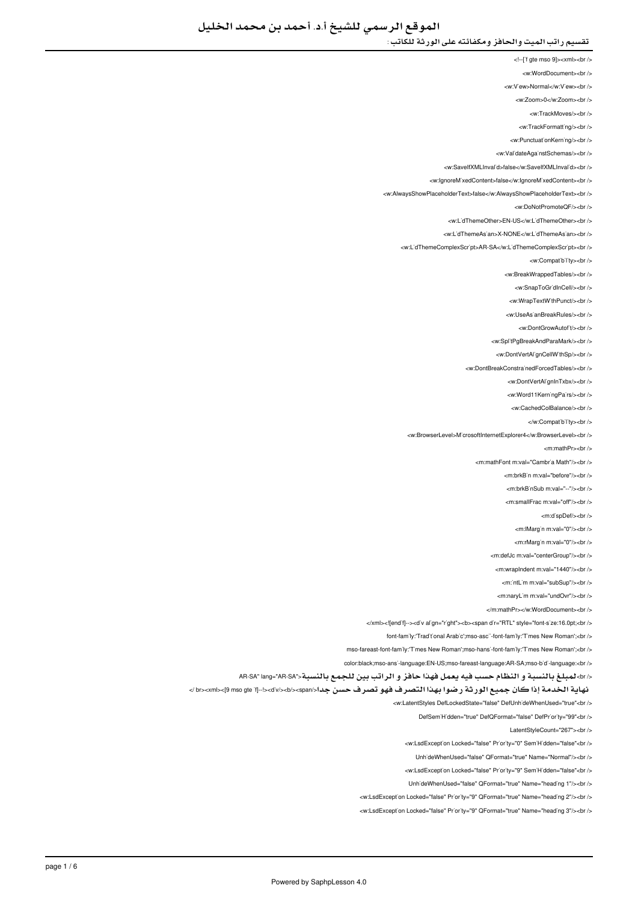<!--['f gte mso 9]><xml><br/>>br />

- <w:WordDocument><br />
- <w:V'ew>Normal</w:V'ew><br/></w
- <w:Zoom>0</w:Zoom><br/><br/>
	- <w:TrackMoves/><br/><br/>
	- <w:TrackFormatting/>
- <w PunctuationKerning/><br />
- 
- <w:ValidateAgainstSchemas/><br/>
- <w:SaveIfXMLInvalid>false</w:SaveIfXMLInvalid><br/></w </
- <w:lgnoreMixedContent>false</w:lgnoreMixedContent><br />
- <w:AlwaysShowPlaceholderText>false</w:AlwaysShowPlaceholderText><br/><br/>
	- <w:DoNotPromoteQF/><br/><br/>
	- <w:L'dThemeOther>EN-US</w:L'dThemeOther><br />
	- </ br><LidThemeAsian:w/<NONE-X>LidThemeAsian:w <
	-
	- <w:L'dThemeComplexScr'pt>AR-SA</w:L'dThemeComplexScr'pt><br />
		- <w:Compatibility><br/><br/>
		- <w:BreakWrappedTables/><br/><br/>>/>
		- <w:SnapToGr'dInCell/><br/> />
		- <w:WrapTextWithPunct/><br/><br/>
		- </ br></UseAsianBreakRules:w <
			- <w:DontGrowAutof<sub>t</sub>/>t/><br/></br
		-
		- <w:SplitPgBreakAndParaMark/><br />
		- <w:DontVertAl'gnCellW'thSp/><br />
		- <w:DontBreakConstrainedForcedTables/><br />
			- <w:DontVertAl'gnInTxbx/><br/></br>
			- <w:Word11KerningPairs/><br/><br/>
			- <w:CachedColBalance/s<hr /s
				- - </w:Compatibility><br/>->
	- <w:BrowserLevel>MicrosoftInternetExplorer4</w:BrowserLevel><br/></w
		- <m:mathPr><br/>->br />
		- <m:mathFont:m:val="Cambria Math"/s<br/><ht:
			- <m:brkB'n m:val="before"/><br/>>hr>
				- <m:brkBinSub m:val="--"/><br />
				- <m:smallFrac.m:val="off"/><hr
					- <m:dispDef/><br/>>>/>
					-
					- <m:lMargin m:val="0"/><br/>>br />
					- <m:rMargin m:val="0"/><br/><br/>b>
				- <m:defJc m:val="centerGroup"/><br />
				- <m:wrapIndent m:val="1440"/><br />
				- -millim mival="subSup"/s-br /s
				- <m:naryLim m:val="undOvr"/><br />
				-
			- </m:mathPr></w:WordDocument><hr
- </xml><![endif--><d'v align="right"><b><span dir="RTL" style="font-size:16.0pt;<br/><br/>b>
	- font-family:'Traditional Arabic':mso-ascii-font-family:'Times New Romant:<br/><br/>br
- mso-fareast-font-fam'ly:'T'mes New Roman';mso-hans'-font-fam'ly:'T'mes New Roman';<br />
	- color:black;mso-ansi-language:EN-US;mso-fareast-language:AR-SA;mso-bidi-language:<br/>cbr />
- </br>لمبلغ بالنسبة و النظام حسب فيه يعمل فهذا حافز و الراتب بين للجمع بالنسبة<"br>لمبلغ بالنسبة <"AR-SA
- 
- نهاية الخدمة إذا كان جميع الورثة رضوا بهذا التصرف فهو تصرف حسن جدا</span></b></div!><--]if gte mso 9><[xml><br /<
	- <w:LatentStyles DefLockedState="false" DefUnhideWhenUsed="true"<br />
		- DefSem'H'dden="true" DefQFormat="false" DefPr'or ty="99"<br />
			- LatentStyleCount="267"><br />
		- <w:LsdException Locked="false" Priority="0" SemiHidden="false"<br/>>ht/>
			- LinhideWhenUsed="false" QFormat="true" Name="Normal"/><ht />
		- <w:LsdException Locked="false" Priority="9" SemiHidden="false"<br/>>ht/>
		- UnhideWhenUsed="false" QFormat="true" Name="heading 1"/><br/>>br
	- <w:LsdException Locked="false" Priority="9" QFormat="true" Name="heading 2"/><br />
	- <w:LsdException Locked="false" Priority="9" QFormat="true" Name="heading 3"/><br/>>htion: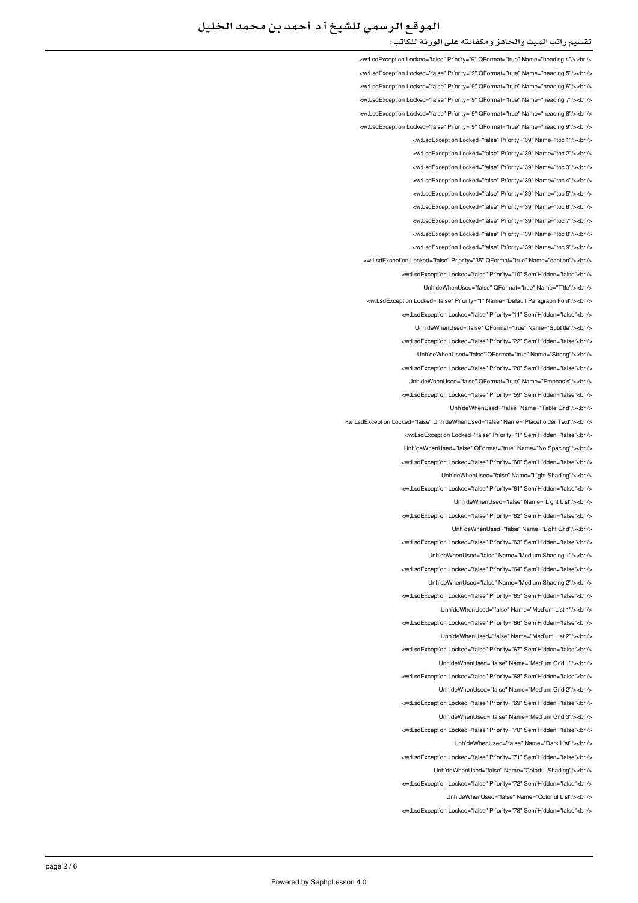# الموقع الرسمي للشيخ أ.د. أحمد بن محمد الخليل

#### تقسيم راتب الميت والحافز ومكفائته على الورثة للكاتب :

<w:LsdException Locked="false" Priority="9" QFormat="true" Name="heading 4"/><br /> <w:LsdException Locked="false" Priority="9" QFormat="true" Name="heading 5"/><br /> <w:LsdException Locked="false" Priority="9" QFormat="true" Name="heading 6"/><br /> <w:LsdExcept'on Locked="false" Pr'or'ty="9" QFormat="true" Name="head'ng 7"/><br /> <w:LsdException Locked="false" Priority="9" QFormat="true" Name="heading 8"/><br /> <w:LsdException Locked="false" Priority="9" QEormat="true" Name="heading 9"/><br /> <w:LsdException Locked="false" Priority="39" Name="toc 1"/><br/><ht> <w:LsdException Locked="false" Priority="39" Name="toc 2"/><br/>>htion: <w:LsdException Locked="false" Priority="39" Name="toc.3"/><hr/></ <w:LsdException Locked="false" Priority="39" Name="toc 4"/><br /> <w:LsdException Locked="false" Priority="39" Name="toc 5"/><br/>>htion: <w:LsdException Locked="false" Priority="39" Name="toc 6"/><br /> <w:LsdException Locked="false" Priority="39" Name="toc 7"/><br /> <w:LsdExcept'on Locked="false" Pr'or'ty="39" Name="toc 8"/><br /> <w:LsdExcept'on Locked="false" Pr'or'ty="39" Name="toc 9"/><br /> <w:LsdException Locked="false" Priority="35" QFormat="true" Name="caption"/><br /> <w:LsdException Locked="false" Priority="10" SemiHidden="false"<br /> UnhideWhenUsed="false" QFormat="true" Name="Title"/><br /> <w:LsdExcept'on Locked="false" Pr'or'ty="1" Name="Default Paragraph Font"/><br /> will sdException Locked="false" Priority="11" SemiHidden="false" <ht /s Unh'deWhenUsed="false" QFormat="true" Name="Subt'tle"/><br /> <w:LsdException Locked="false" Priority="22" SemiHidden="false"<br/>chriden Unh'deWhenUsed="false" QFormat="true" Name="Strong"/><br /> <w:LsdException Locked="false" Priority="20" SemiHidden="false"<br/>>htion: Unh'deWhenUsed="false" QFormat="true" Name="Emphas's"/><br /> <w:LsdException Locked="false" Priority="59" SemiHidden="false"<br/>>ht/> LinhideWhenLised="false" Name="Table Grid"/s<br /s <w:l sdException Locked="false" LiphideWhenLised="false" Name="Placeholder Text"/><br /></ <w:LsdException Locked="false" Priority="1" SemiHidden="false"<br/>chriden Unh'deWhenUsed="false" QFormat="true" Name="No Spac'ng"/><br /> <w:LsdException Locked="false" Priority="60" SemiHidden="false"<hr /> UnhideWhenUsed="false" Name="Light Shading"/><br /> <w:LsdException Locked="false" Priority="61" SemiHidden="false"<br/>check UnhideWhenUsed="false" Name="Light List"/><br /> <w:LsdException Locked="false" Priority="62" SemiHidden="false"<br/>chriden Unh'deWhenUsed="false" Name="L'ght Gr'd"/><br /> <w:LsdExcept'on Locked="false" Priority="63" Sem'H'dden="false"<br /> UnhideWhenUsed="false" Name="Medium Shading 1"/><br /> <w:LsdException Locked="false" Priority="64" SemiHidden="false"<br/>kor/> LinhideWhenLised="false" Name="Medium Shading 2"/><hr /> <w:LsdException Locked="false" Priority="65" SemiHidden="false"<br/>chriden LinhideWhenLised="false" Name="Medium List 1"/s<hr /s <w:LsdExcept'on Locked="false" Priority="66" Sem'H'dden="false"<br /> UnhideWhenUsed="false" Name="Medium List 2"/><ht /> <w:LsdException Locked="false" Priority="67" SemiHidden="false"<br/>cbr/> UnhideWhenUsed="false" Name="Medium Grid 1"/><br /> <w:LsdException Locked="false" Priority="68" SemiHidden="false"<br/>>ht/> UnhideWhenUsed="false" Name="Medium Grid 2"/><br /> will sdException Locked="false" Priority="69" SemiHidden="false">br / UnhideWhenUsed="false" Name="Medium Grid 3"/><br /> <w:LsdExcept'on Locked="false" Pr'or'ty="70" Sem'H'dden="false"<br /> UnhideWhenUsed="false" Name="Dark List"/><br /> <w:LsdException Locked="false" Priority="71" SemiHidden="false"<br/>chriden UnhideWhenUsed="false" Name="Colorful Shading"/><br /> <w:LsdException Locked="false" Priority="72" SemiHidden="false"<br/>check LinhideWhenUsed="false" Name="Colorful List"/><ht <w:LsdException Locked="false" Priority="73" SemiHidden="false"<br/>chr/s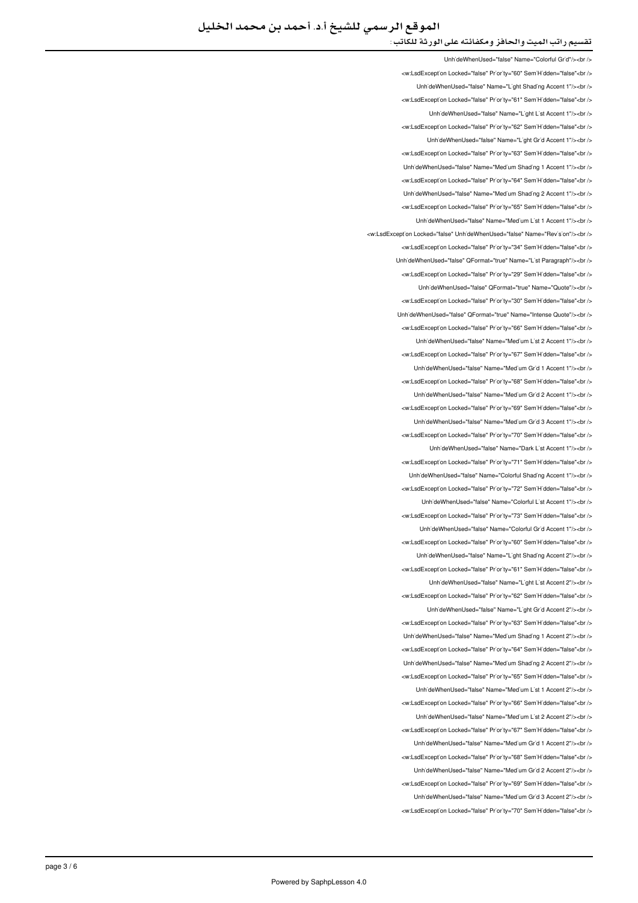## تقسيم راتب الميت والحافز ومكفائته على الورثة للكاتب :

UnhideWhenUsed="false" Name="Colorful Grid"/><ht <w:LsdException Locked="false" Priority="60" SemiHidden="false"<br/>child UnhideWhenUsed="false" Name="Light Shading Accent 1"/><br /> <w:LsdException Locked="false" Priority="61" SemiHidden="false"<br/>kor/> UnhideWhenUsed="false" Name="Light List Accent 1"/><br /> <w:LsdException Locked="false" Priority="62" SemiHidden="false"<br/>chri UnhideWhenUsed="false" Name="Light Grid Accent 1"/><br /> <w:LsdExcept'on Locked="false" Priority="63" SemiHidden="false"<br/>>ht /> LinhideWhenLised="false" Name="Medium Shading 1 Accent 1"/s<hr /s <w:LsdException Locked="false" Priority="64" SemiHidden="false"<br /> UnhideWhenUsed="false" Name="Medium Shading 2 Accent 1"/><br/>>br <w:LsdException Locked="false" Priority="65" SemiHidden="false"<br /> UnhideWhenUsed="false" Name="Medium List 1 Accent 1"/><br /> <w:LsdException Locked="false" UnhideWhenUsed="false" Name="Revision"/><br /> <w:LsdExcept'on Locked="false" Pr'or'ty="34" Sem'H'dden="false"<br /> Unh'deWhenUsed="false" QFormat="true" Name="L'st Paragraph"/><br /> <w:LsdException Locked="false" Priority="29" SemiHidden="false"<br/>kor/> Unh'deWhenUsed="false" QFormat="true" Name="Quote"/><br /> <w:LsdException Locked="false" Priority="30" SemiHidden="false"<br /> Linh'deWhenLised="false" OFormat="true" Name="Intense Quote"/>>hr <w:LsdException Locked="false" Priority="66" SemiHidden="false"<br/>>br/> UnhideWhenUsed="false" Name="Medium List 2 Accent 1"/><ht /> <w:LsdExcept'on Locked="false" Prior'ty="67" Sem'H'dden="false"<br /> UnhideWhenUsed="false" Name="Medium Grid 1 Accent 1"/><br /> <w:LsdException Locked="false" Priority="68" SemiHidden="false"<br/>chi UnhideWhenUsed="false" Name="Medium Grid 2 Accent 1"/><br /> <w:LsdException Locked="false" Priority="69" SemiHidden="false"<br/>>htion </ br></"1 Accent 3 Grid Medium="Name" false="UnhideWhenUsed <w:LsdException Locked="false" Priority="70" SemiHidden="false"<br/>chriden UnhideWhenUsed="false" Name="Dark List Accent 1"/><br /> <w:LsdException Locked="false" Priority="71" SemiHidden="false"<hr /> Unh'deWhenUsed="false" Name="Colorful Shading Accent 1"/><br /> <w:LsdException Locked="false" Priority="72" SemiHidden="false"<br/>chi LinhideWhenLised="false" Name="Colorful List Accent 1"/s<hr /s <w:LsdException Locked="false" Priority="73" SemiHidden="false"<br/>kor/> Unh'deWhenUsed="false" Name="Colorful Gr'd Accent 1"/><br /> <w:LsdExcept'on Locked="false" Priority="60" Sem'H'dden="false"<br /> UnhideWhenUsed="false" Name="Light Shading Accent 2"/><br /> <w:LsdException Locked="false" Priority="61" SemiHidden="false"<br/>kor/> LinhideWhenLised="false" Name="Light List Accent 2"/><hr /> <w:LsdException Locked="false" Priority="62" SemiHidden="false"<br/>chriden Unh'deWhenUsed="false" Name="L'ght Gr'd Accent 2"/><br /> <w:LsdException Locked="false" Priority="63" SemiHidden="false"<br /> LinhideWhenUsed="false" Name="Medium Shading 1 Accent 2"/><ht /> <w:LsdException Locked="false" Priority="64" SemiHidden="false"<br/>cbr /> UnhideWhenUsed="false" Name="Medium Shading 2 Accent 2"/><br /> <w:LsdException Locked="false" Priority="65" SemiHidden="false"<br/>>ht/> Unh'deWhenUsed="false" Name="Med'um L'st 1 Accent 2"/><br /> will sdException Locked="false" Priority="66" SemiHidden="false">br / Unh'deWhenUsed="false" Name="Medium List 2 Accent 2"/><br /> <w:LsdExcept'on Locked="false" Pr'or'ty="67" Sem'H'dden="false"<br /> UnhideWhenUsed="false" Name="Medium Grid 1 Accent 2"/><br /> <w:LsdException Locked="false" Priority="68" SemiHidden="false"<br/>chriden UnhideWhenUsed="false" Name="Medium Grid 2 Accent 2"/><br /> <w:LsdException Locked="false" Priority="69" SemiHidden="false"<br/>check Unh'deWhenUsed="false" Name="Med'um Gr'd 3 Accent 2"/><br /> <w:LsdException Locked="false" Priority="70" SemiHidden="false"<br/>chriden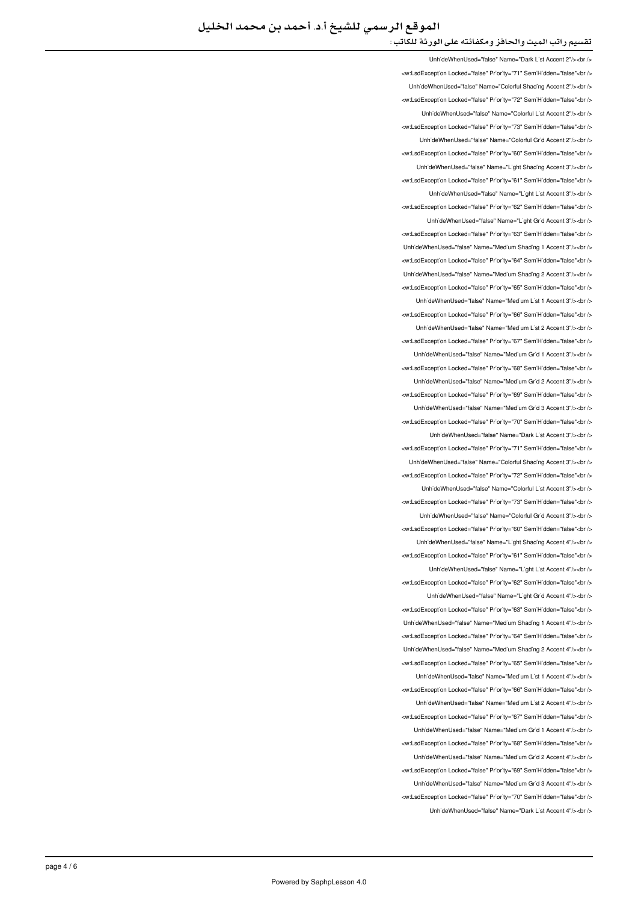### تقسيم راتب الميت والحافز ومكفائته على الورثة للكاتب :

UnhideWhenUsed="false" Name="Dark List Accent 2"/><ht /> </w:LsdException Locked="false" Priority="71" SemiHidden="false"<br/>chi UnhideWhenUsed="false" Name="Colorful Shading Accent 2"/><br /> <w:LsdException Locked="false" Priority="72" SemiHidden="false"<br/>kor/> UnhideWhenUsed="false" Name="Colorful List Accent 2"/><br /> <w:LsdException Locked="false" Priority="73" SemiHidden="false"<br/>chri LinhideWhenLised="false" Name="Colorful Grid Accent 2"/schr /s <w:LsdException Locked="false" Priority="60" SemiHidden="false"<br/>>htion LinhideWhenLised="false" Name="Light Shading Accent 3"/s<hr /s <w:LsdException Locked="false" Priority="61" SemiHidden="false"<br/>kor/> UnhideWhenUsed="false" Name="Light List Accent 3"/><br /> <w:LsdException Locked="false" Priority="62" SemiHidden="false"<br /> UnhideWhenUsed="false" Name="Light Grid Accent 3"/><ht /> <w:LsdExcept'on Locked="false" Pr'or'ty="63" Sem'H'dden="false"<br /> Unh'deWhenUsed="false" Name="Med'um Shad'ng 1 Accent 3"/><br /> <w:LsdException Locked="false" Priority="64" SemiHidden="false"<br/>chriden Unh'deWhenUsed="false" Name="Med'um Shad'ng 2 Accent 3"/><br /> <w:LsdException Locked="false" Priority="65" SemiHidden="false"<br/>>htion: UnhideWhenUsed="false" Name="Medium List 1 Accent 3"/><br /> will sdException Locked="false" Priority="66" SemiHidden="false" chr Unh'deWhenUsed="false" Name="Medium List 2 Accent 3"/><br /> <w:LsdException Locked="false" Priority="67" SemiHidden="false"<br/>chriden Unh'deWhenUsed="false" Name="Med'um Gr'd 1 Accent 3"/><br /> <w:LsdException Locked="false" Priority="68" SemiHidden="false"<br/>>htion:// UnhideWhenUsed="false" Name="Medium Grid 2 Accent 3"/><br /> <w:LsdException Locked="false" Priority="69" SemiHidden="false"<br/>>ht/> Unh'deWhenUsed="false" Name="Med'um Gr'd 3 Accent 3"/><br /> <w:LsdException Locked="false" Priority="70" SemiHidden="false"<hr /s LinhideWhenLised="false" Name="Dark List Accent 3"/s<hr /s <w:LsdException Locked="false" Priority="71" SemiHidden="false"<br/>>htion: LinhideWhenUsed="false" Name="Colorful Shading Accent 3"/><hr /> <w:LsdExcept'on Locked="false" Priority="72" Sem'H'dden="false"<br /> UnhideWhenUsed="false" Name="Colorful List Accent 3"/><br /> <w:LsdExcept'on Locked="false" Priority="73" Sem'H'dden="false"<br /> UnhideWhenUsed="false" Name="Colorful Grid Accent 3"/><ht /> <w:LsdException Locked="false" Priority="60" SemiHidden="false"<br/>>htion: Unh'deWhenUsed="false" Name="L'ght Shading Accent 4"/><br /> <w:LsdException Locked="false" Priority="61" SemiHidden="false"<br/>>htion: UnhideWhenUsed="false" Name="Light List Accent 4"/><br /> <w:LsdException Locked="false" Priority="62" SemiHidden="false"<hr /> UnhideWhenUsed="false" Name="Light Grid Accent 4"/><br /> <w:LsdException Locked="false" Priority="63" SemiHidden="false"<br/>>htion: UnhideWhenUsed="false" Name="Medium Shading 1 Accent 4"/><br /> <w:LsdException Locked="false" Priority="64" SemiHidden="false"<br/>chriden Unh'deWhenUsed="false" Name="Med'um Shad'ng 2 Accent 4"/><br /> <w:LsdException Locked="false" Priority="65" SemiHidden="false"<br/>>ht/> UnhideWhenUsed="false" Name="Medium List 1 Accent 4"/><br /> <w:LsdExcept'on Locked="false" Priority="66" Sem'H'dden="false"<br /> LinhideWhenHeed="false" Name="Medium List 2 Accent 4"/schr /s <w:LsdException Locked="false" Priority="67" SemiHidden="false"<br /> UnhideWhenUsed="false" Name="Medium Grid 1 Accent 4"/><br /> <w:LsdException Locked="false" Priority="68" SemiHidden="false"<br /> UnhideWhenUsed="false" Name="Medium Grid 2 Accent 4"/><br /> </w:LsdException Locked="false" Priority="69" SemiHidden="false"<br/>br/> UnhideWhenUsed="false" Name="Medium Grid 3 Accent 4"/><br /> <w:LsdException Locked="false" Priority="70" SemiHidden="false"<br /> UnhideWhenUsed="false" Name="Dark List Accent 4"/><ht />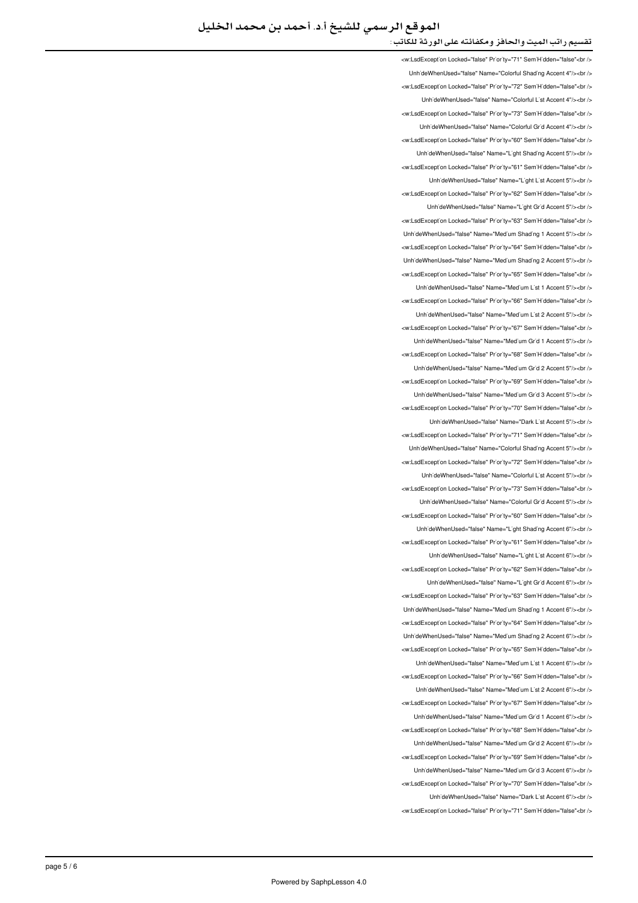### تقسيم راتب الميت والحافز ومكفائته على الورثة للكاتب :

<w:LsdException Locked="false" Priority="71" SemiHidden="false"<br /> UnhideWhenUsed="false" Name="Colorful Shading Accent 4"/><br /> <w:LsdException Locked="false" Priority="72" SemiHidden="false"<br/>chriden UnhideWhenUsed="false" Name="Colorful List Accent 4"/><br /> <w:LsdExcept'on Locked="false" Priority="73" Sem'H'dden="false"<br /> LinhideWhenLised="false" Name="Colorful Grid Accent 4"/s<hr /s <w:LsdException Locked="false" Priority="60" SemiHidden="false"<br/>chriden Unh'deWhenUsed="false" Name="L'ght Shad'ng Accent 5"/><br /> <w:LsdException Locked="false" Priority="61" SemiHidden="false"<hr /> UnhideWhenUsed="false" Name="Light List Accent 5"/><br /> <w:LsdException Locked="false" Priority="62" SemiHidden="false"<br/>check UnhideWhenUsed="false" Name="Light Grid Accent 5"/><br /> <w:LsdException Locked="false" Priority="63" SemiHidden="false"<br /> Unh'deWhenUsed="false" Name="Med'um Shading 1 Accent 5"/><br /> <w:LsdException Locked="false" Priority="64" SemiHidden="false"<br /> Unh'deWhenUsed="false" Name="Med'um Shad'ng 2 Accent 5"/><br /> <w:LsdExcept'on Locked="false" Pr'or'ty="65" Sem'H'dden="false"<br /> UnhideWhenUsed="false" Name="Medium List 1 Accent 5"/><br /> <w:LsdExcept'on Locked="false" Priority="66" SemiHidden="false"<br/>check LinhideWhenLised="false" Name="Medium List 2 Accent 5"/schr /s <w:LsdException Locked="false" Priority="67" SemiHidden="false"<br /> UnhideWhenUsed="false" Name="Medium Grid 1 Accent 5"/><br /> <w:LsdException Locked="false" Priority="68" SemiHidden="false"<br/>chi/> UnhideWhenUsed="false" Name="Medium Grid 2 Accent 5"/><br /> <w:LsdException Locked="false" Priority="69" SemiHidden="false"<br/>chi UnhideWhenUsed="false" Name="Medium Grid 3 Accent 5"/><br /> <w:LsdException Locked="false" Priority="70" SemiHidden="false"<br/>>htion: LinhideWhenLised="false" Name="Dark List Accent 5"/><hr /> <w:LsdExcept'on Locked="false" Priority="71" Sem'H'dden="false"<hr/> Unh'deWhenUsed="false" Name="Colorful Shading Accent 5"/><br /> <w:LsdException Locked="false" Priority="72" SemiHidden="false"<hr /> Unh'deWhenUsed="false" Name="Colorful L'st Accent 5"/><br /> <w:LsdException Locked="false" Priority="73" SemiHidden="false"<br/>check LinhideWhenLised="false" Name="Colorful Grid Accent 5"/s<hr /s <w:LsdException Locked="false" Priority="60" SemiHidden="false"<br/>chriden Unh'deWhenUsed="false" Name="L'ght Shading Accent 6"/><br /> <w:LsdExcept'on Locked="false" Priority="61" Sem'H'dden="false"<br /> UnhideWhenUsed="false" Name="Light List Accent 6"/><br /> <w:LsdException Locked="false" Priority="62" SemiHidden="false"<br/>kor/> LinhideWhenUsed="false" Name="Light Grid Accent 6"/><hr /> <w:LsdException Locked="false" Priority="63" SemiHidden="false"<br/>chriden Unh'deWhenUsed="false" Name="Medium Shading 1 Accent 6"/><br /> <w:LsdException Locked="false" Priority="64" SemiHidden="false"<br /> LinhideWhenUsed="false" Name="Medium Shading 2 Accent 6"/><ht /> <w:LsdException Locked="false" Priority="65" SemiHidden="false"<br/>cbr/> UnhideWhenUsed="false" Name="Medium List 1 Accent 6"/><br /> <w:LsdException Locked="false" Priority="66" SemiHidden="false"<br/>>htion: UnhideWhenUsed="false" Name="Medium List 2 Accent 6"/><br /> ∠w:l sdExcention Locked="false" Priority="67" SemiHidden="false"∠hr Unh'deWhenUsed="false" Name="Med'um Gr'd 1 Accent 6"/><br /> <w:LsdExcept'on Locked="false" Pr'or'ty="68" Sem'H'dden="false"<br /> UnhideWhenUsed="false" Name="Medium Grid 2 Accent 6"/><br /> <w:LsdException Locked="false" Priority="69" SemiHidden="false"<br/>chriden UnhideWhenUsed="false" Name="Medium Grid 3 Accent 6"/><br /> <w:LsdException Locked="false" Priority="70" SemiHidden="false"<br/>check UnhideWhenUsed="false" Name="Dark List Accent 6"/><br /> <w:LsdException Locked="false" Priority="71" SemiHidden="false"<br/>>ht/>